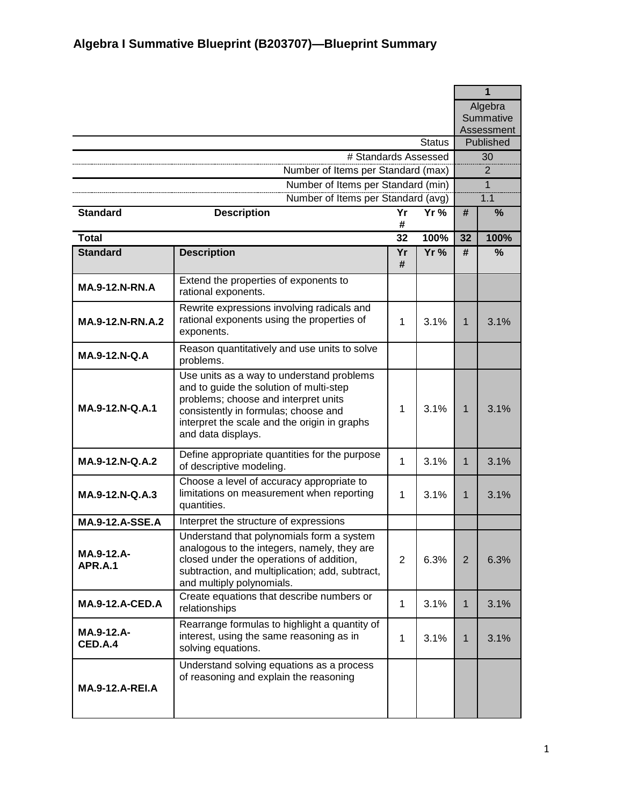|                        |                                                                                                                                                                                                                                            |                |        |                | 1                       |  |
|------------------------|--------------------------------------------------------------------------------------------------------------------------------------------------------------------------------------------------------------------------------------------|----------------|--------|----------------|-------------------------|--|
|                        |                                                                                                                                                                                                                                            |                |        |                | Algebra                 |  |
|                        |                                                                                                                                                                                                                                            |                |        |                | Summative<br>Assessment |  |
| <b>Status</b>          |                                                                                                                                                                                                                                            |                |        | Published      |                         |  |
| # Standards Assessed   |                                                                                                                                                                                                                                            |                |        | 30             |                         |  |
|                        | Number of Items per Standard (max)                                                                                                                                                                                                         |                |        | $\overline{2}$ |                         |  |
|                        | Number of Items per Standard (min)                                                                                                                                                                                                         |                |        | $\mathbf{1}$   |                         |  |
|                        | Number of Items per Standard (avg)                                                                                                                                                                                                         |                |        | 1.1            |                         |  |
| <b>Standard</b>        | <b>Description</b>                                                                                                                                                                                                                         | Yr<br>#        | $Yr\%$ | #              | $\%$                    |  |
| <b>Total</b>           |                                                                                                                                                                                                                                            | 32             | 100%   | 32             | 100%                    |  |
| <b>Standard</b>        | <b>Description</b>                                                                                                                                                                                                                         | Yr<br>#        | Yr%    | #              | $\%$                    |  |
| <b>MA.9-12.N-RN.A</b>  | Extend the properties of exponents to<br>rational exponents.                                                                                                                                                                               |                |        |                |                         |  |
| MA.9-12.N-RN.A.2       | Rewrite expressions involving radicals and<br>rational exponents using the properties of<br>exponents.                                                                                                                                     | 1              | 3.1%   | $\mathbf 1$    | 3.1%                    |  |
| MA.9-12.N-Q.A          | Reason quantitatively and use units to solve<br>problems.                                                                                                                                                                                  |                |        |                |                         |  |
| MA.9-12.N-Q.A.1        | Use units as a way to understand problems<br>and to guide the solution of multi-step<br>problems; choose and interpret units<br>consistently in formulas; choose and<br>interpret the scale and the origin in graphs<br>and data displays. | 1              | 3.1%   | $\mathbf{1}$   | 3.1%                    |  |
| MA.9-12.N-Q.A.2        | Define appropriate quantities for the purpose<br>of descriptive modeling.                                                                                                                                                                  | 1              | 3.1%   | $\mathbf 1$    | 3.1%                    |  |
| MA.9-12.N-Q.A.3        | Choose a level of accuracy appropriate to<br>limitations on measurement when reporting<br>quantities.                                                                                                                                      | 1              | 3.1%   | $\mathbf 1$    | 3.1%                    |  |
| <b>MA.9-12.A-SSE.A</b> | Interpret the structure of expressions                                                                                                                                                                                                     |                |        |                |                         |  |
| MA.9-12.A-<br>APR.A.1  | Understand that polynomials form a system<br>analogous to the integers, namely, they are<br>closed under the operations of addition,<br>subtraction, and multiplication; add, subtract,<br>and multiply polynomials.                       | $\overline{2}$ | 6.3%   | $\overline{2}$ | 6.3%                    |  |
| <b>MA.9-12.A-CED.A</b> | Create equations that describe numbers or<br>relationships                                                                                                                                                                                 | 1              | 3.1%   | $\mathbf{1}$   | 3.1%                    |  |
| MA.9-12.A-<br>CED.A.4  | Rearrange formulas to highlight a quantity of<br>interest, using the same reasoning as in<br>solving equations.                                                                                                                            | 1              | 3.1%   | $\mathbf{1}$   | 3.1%                    |  |
| <b>MA.9-12.A-REI.A</b> | Understand solving equations as a process<br>of reasoning and explain the reasoning                                                                                                                                                        |                |        |                |                         |  |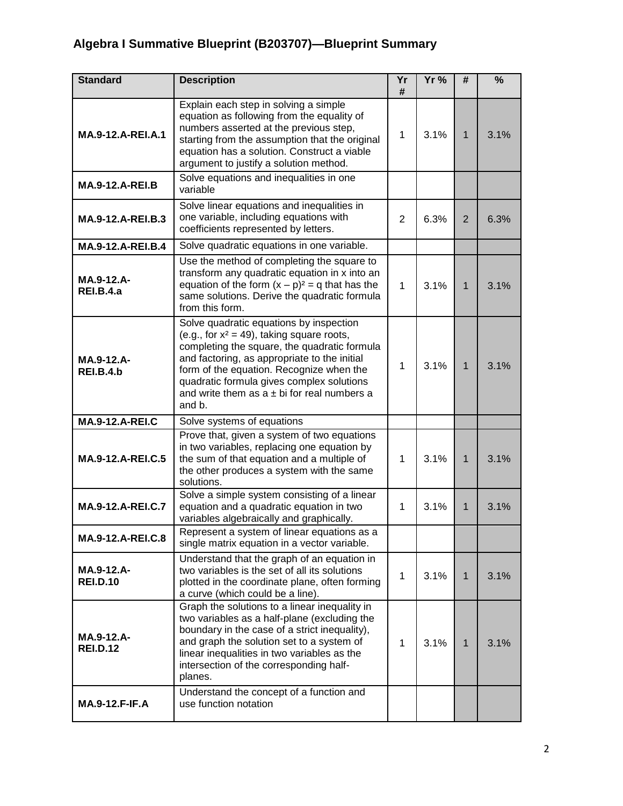## **Algebra I Summative Blueprint (B203707)—Blueprint Summary**

| <b>Standard</b>                | <b>Description</b>                                                                                                                                                                                                                                                                                                                             | Yr<br>#      | $Yr$ % | #              | %    |
|--------------------------------|------------------------------------------------------------------------------------------------------------------------------------------------------------------------------------------------------------------------------------------------------------------------------------------------------------------------------------------------|--------------|--------|----------------|------|
| MA.9-12.A-REI.A.1              | Explain each step in solving a simple<br>equation as following from the equality of<br>numbers asserted at the previous step,<br>starting from the assumption that the original<br>equation has a solution. Construct a viable<br>argument to justify a solution method.                                                                       | 1            | 3.1%   | $\mathbf 1$    | 3.1% |
| <b>MA.9-12.A-REI.B</b>         | Solve equations and inequalities in one<br>variable                                                                                                                                                                                                                                                                                            |              |        |                |      |
| <b>MA.9-12.A-REI.B.3</b>       | Solve linear equations and inequalities in<br>one variable, including equations with<br>coefficients represented by letters.                                                                                                                                                                                                                   | 2            | 6.3%   | $\overline{2}$ | 6.3% |
| MA.9-12.A-REI.B.4              | Solve quadratic equations in one variable.                                                                                                                                                                                                                                                                                                     |              |        |                |      |
| MA.9-12.A-<br><b>REI.B.4.a</b> | Use the method of completing the square to<br>transform any quadratic equation in x into an<br>equation of the form $(x - p)^2 = q$ that has the<br>same solutions. Derive the quadratic formula<br>from this form.                                                                                                                            | 1            | 3.1%   | $\mathbf{1}$   | 3.1% |
| MA.9-12.A-<br>REI.B.4.b        | Solve quadratic equations by inspection<br>(e.g., for $x^2 = 49$ ), taking square roots,<br>completing the square, the quadratic formula<br>and factoring, as appropriate to the initial<br>form of the equation. Recognize when the<br>quadratic formula gives complex solutions<br>and write them as $a \pm bi$ for real numbers a<br>and b. | $\mathbf{1}$ | 3.1%   | $\mathbf{1}$   | 3.1% |
| <b>MA.9-12.A-REI.C</b>         | Solve systems of equations                                                                                                                                                                                                                                                                                                                     |              |        |                |      |
| <b>MA.9-12.A-REI.C.5</b>       | Prove that, given a system of two equations<br>in two variables, replacing one equation by<br>the sum of that equation and a multiple of<br>the other produces a system with the same<br>solutions.                                                                                                                                            | 1            | 3.1%   | $\mathbf 1$    | 3.1% |
| <b>MA.9-12.A-REI.C.7</b>       | Solve a simple system consisting of a linear<br>equation and a quadratic equation in two<br>variables algebraically and graphically.                                                                                                                                                                                                           | 1            | 3.1%   | 1              | 3.1% |
| <b>MA.9-12.A-REI.C.8</b>       | Represent a system of linear equations as a<br>single matrix equation in a vector variable.                                                                                                                                                                                                                                                    |              |        |                |      |
| MA.9-12.A-<br><b>REI.D.10</b>  | Understand that the graph of an equation in<br>two variables is the set of all its solutions<br>plotted in the coordinate plane, often forming<br>a curve (which could be a line).                                                                                                                                                             | 1            | 3.1%   | $\mathbf{1}$   | 3.1% |
| MA.9-12.A-<br><b>REI.D.12</b>  | Graph the solutions to a linear inequality in<br>two variables as a half-plane (excluding the<br>boundary in the case of a strict inequality),<br>and graph the solution set to a system of<br>linear inequalities in two variables as the<br>intersection of the corresponding half-<br>planes.                                               | 1            | 3.1%   | $\mathbf{1}$   | 3.1% |
| <b>MA.9-12.F-IF.A</b>          | Understand the concept of a function and<br>use function notation                                                                                                                                                                                                                                                                              |              |        |                |      |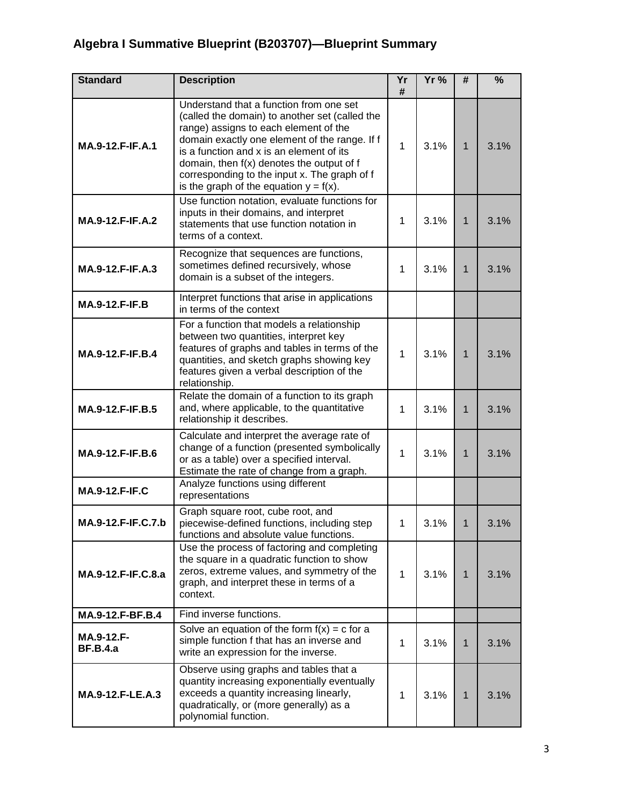## **Algebra I Summative Blueprint (B203707)—Blueprint Summary**

| <b>Standard</b>               | <b>Description</b>                                                                                                                                                                                                                                                                                                                                                            | Yr<br># | <b>Yr%</b> | #            | $\overline{\frac{9}{6}}$ |
|-------------------------------|-------------------------------------------------------------------------------------------------------------------------------------------------------------------------------------------------------------------------------------------------------------------------------------------------------------------------------------------------------------------------------|---------|------------|--------------|--------------------------|
| MA.9-12.F-IF.A.1              | Understand that a function from one set<br>(called the domain) to another set (called the<br>range) assigns to each element of the<br>domain exactly one element of the range. If f<br>is a function and x is an element of its<br>domain, then $f(x)$ denotes the output of $f$<br>corresponding to the input x. The graph of f<br>is the graph of the equation $y = f(x)$ . | 1       | 3.1%       | $\mathbf{1}$ | 3.1%                     |
| MA.9-12.F-IF.A.2              | Use function notation, evaluate functions for<br>inputs in their domains, and interpret<br>statements that use function notation in<br>terms of a context.                                                                                                                                                                                                                    | 1       | 3.1%       | $\mathbf 1$  | 3.1%                     |
| MA.9-12.F-IF.A.3              | Recognize that sequences are functions,<br>sometimes defined recursively, whose<br>domain is a subset of the integers.                                                                                                                                                                                                                                                        | 1       | 3.1%       | $\mathbf 1$  | 3.1%                     |
| <b>MA.9-12.F-IF.B</b>         | Interpret functions that arise in applications<br>in terms of the context                                                                                                                                                                                                                                                                                                     |         |            |              |                          |
| MA.9-12.F-IF.B.4              | For a function that models a relationship<br>between two quantities, interpret key<br>features of graphs and tables in terms of the<br>quantities, and sketch graphs showing key<br>features given a verbal description of the<br>relationship.                                                                                                                               | 1       | 3.1%       | $\mathbf{1}$ | 3.1%                     |
| MA.9-12.F-IF.B.5              | Relate the domain of a function to its graph<br>and, where applicable, to the quantitative<br>relationship it describes.                                                                                                                                                                                                                                                      | 1       | 3.1%       | 1            | 3.1%                     |
| MA.9-12.F-IF.B.6              | Calculate and interpret the average rate of<br>change of a function (presented symbolically<br>or as a table) over a specified interval.<br>Estimate the rate of change from a graph.                                                                                                                                                                                         | 1       | 3.1%       | 1            | 3.1%                     |
| <b>MA.9-12.F-IF.C</b>         | Analyze functions using different<br>representations                                                                                                                                                                                                                                                                                                                          |         |            |              |                          |
| MA.9-12.F-IF.C.7.b            | Graph square root, cube root, and<br>piecewise-defined functions, including step<br>functions and absolute value functions.                                                                                                                                                                                                                                                   | 1       | 3.1%       | $\mathbf 1$  | 3.1%                     |
| MA.9-12.F-IF.C.8.a            | Use the process of factoring and completing<br>the square in a quadratic function to show<br>zeros, extreme values, and symmetry of the<br>graph, and interpret these in terms of a<br>context.                                                                                                                                                                               | 1       | 3.1%       | $\mathbf 1$  | 3.1%                     |
| MA.9-12.F-BF.B.4              | Find inverse functions.                                                                                                                                                                                                                                                                                                                                                       |         |            |              |                          |
| MA.9-12.F-<br><b>BF.B.4.a</b> | Solve an equation of the form $f(x) = c$ for a<br>simple function f that has an inverse and<br>write an expression for the inverse.                                                                                                                                                                                                                                           | 1       | 3.1%       | 1            | 3.1%                     |
| <b>MA.9-12.F-LE.A.3</b>       | Observe using graphs and tables that a<br>quantity increasing exponentially eventually<br>exceeds a quantity increasing linearly,<br>quadratically, or (more generally) as a<br>polynomial function.                                                                                                                                                                          | 1       | 3.1%       | $\mathbf 1$  | 3.1%                     |